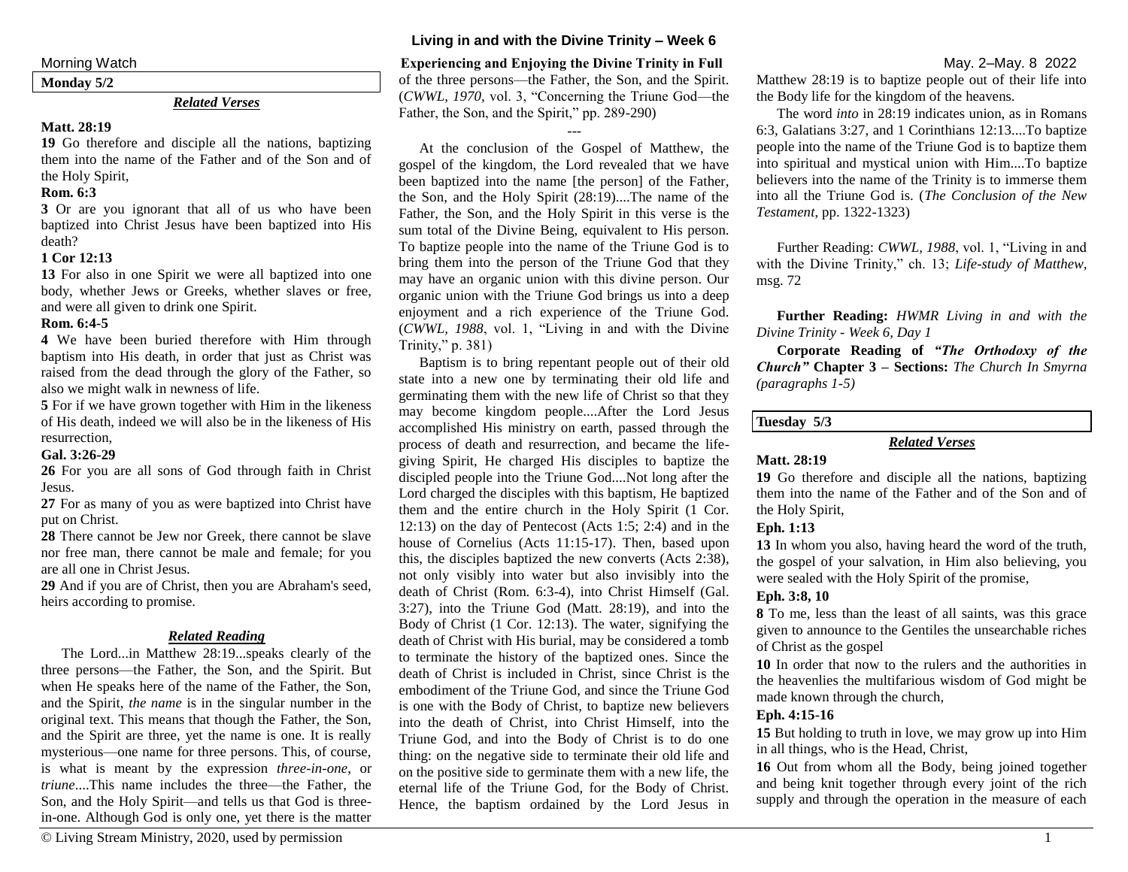**Monday 5/2**

# *Related Verses*

#### **Matt. 28:19**

**19** Go therefore and disciple all the nations, baptizing them into the name of the Father and of the Son and of the Holy Spirit,

#### **Rom. 6:3**

**3** Or are you ignorant that all of us who have been baptized into Christ Jesus have been baptized into His death?

### **1 Cor 12:13**

**13** For also in one Spirit we were all baptized into one body, whether Jews or Greeks, whether slaves or free, and were all given to drink one Spirit.

### **Rom. 6:4-5**

**4** We have been buried therefore with Him through baptism into His death, in order that just as Christ was raised from the dead through the glory of the Father, so also we might walk in newness of life.

**5** For if we have grown together with Him in the likeness of His death, indeed we will also be in the likeness of His resurrection,

# **Gal. 3:26-29**

**26** For you are all sons of God through faith in Christ Jesus.

**27** For as many of you as were baptized into Christ have put on Christ.

**28** There cannot be Jew nor Greek, there cannot be slave nor free man, there cannot be male and female; for you are all one in Christ Jesus.

**29** And if you are of Christ, then you are Abraham's seed, heirs according to promise.

# *Related Reading*

The Lord...in Matthew 28:19...speaks clearly of the three persons—the Father, the Son, and the Spirit. But when He speaks here of the name of the Father, the Son, and the Spirit, *the name* is in the singular number in the original text. This means that though the Father, the Son, and the Spirit are three, yet the name is one. It is really mysterious—one name for three persons. This, of course, is what is meant by the expression *three-in-one*, or *triune*....This name includes the three—the Father, the Son, and the Holy Spirit—and tells us that God is threein-one. Although God is only one, yet there is the matter

# **Living in and with the Divine Trinity – Week 6**

# Morning Watch**Experiencing and Enjoying the Divine Trinity in Full** May. 2–May. 8 2022

of the three persons—the Father, the Son, and the Spirit. (*CWWL, 1970,* vol. 3, "Concerning the Triune God—the Father, the Son, and the Spirit," pp. 289-290)

---

At the conclusion of the Gospel of Matthew, the gospel of the kingdom, the Lord revealed that we have been baptized into the name [the person] of the Father, the Son, and the Holy Spirit (28:19)....The name of the Father, the Son, and the Holy Spirit in this verse is the sum total of the Divine Being, equivalent to His person. To baptize people into the name of the Triune God is to bring them into the person of the Triune God that they may have an organic union with this divine person. Our organic union with the Triune God brings us into a deep enjoyment and a rich experience of the Triune God. (*CWWL, 1988*, vol. 1, "Living in and with the Divine Trinity," p. 381)

Baptism is to bring repentant people out of their old state into a new one by terminating their old life and germinating them with the new life of Christ so that they may become kingdom people....After the Lord Jesus accomplished His ministry on earth, passed through the process of death and resurrection, and became the lifegiving Spirit, He charged His disciples to baptize the discipled people into the Triune God....Not long after the Lord charged the disciples with this baptism, He baptized them and the entire church in the Holy Spirit (1 Cor. 12:13) on the day of Pentecost (Acts 1:5; 2:4) and in the house of Cornelius (Acts 11:15-17). Then, based upon this, the disciples baptized the new converts (Acts 2:38), not only visibly into water but also invisibly into the death of Christ (Rom. 6:3-4), into Christ Himself (Gal. 3:27), into the Triune God (Matt. 28:19), and into the Body of Christ (1 Cor. 12:13). The water, signifying the death of Christ with His burial, may be considered a tomb to terminate the history of the baptized ones. Since the death of Christ is included in Christ, since Christ is the embodiment of the Triune God, and since the Triune God is one with the Body of Christ, to baptize new believers into the death of Christ, into Christ Himself, into the Triune God, and into the Body of Christ is to do one thing: on the negative side to terminate their old life and on the positive side to germinate them with a new life, the eternal life of the Triune God, for the Body of Christ. Hence, the baptism ordained by the Lord Jesus in

Matthew 28:19 is to baptize people out of their life into the Body life for the kingdom of the heavens.

The word *into* in 28:19 indicates union, as in Romans 6:3, Galatians 3:27, and 1 Corinthians 12:13....To baptize people into the name of the Triune God is to baptize them into spiritual and mystical union with Him....To baptize believers into the name of the Trinity is to immerse them into all the Triune God is. (*The Conclusion of the New Testament*, pp. 1322-1323)

Further Reading: *CWWL, 1988*, vol. 1, "Living in and with the Divine Trinity," ch. 13; *Life-study of Matthew,* msg. 72

**Further Reading:** *HWMR Living in and with the Divine Trinity - Week 6, Day 1*

**Corporate Reading of** *"The Orthodoxy of the Church"* **Chapter 3 – Sections:** *The Church In Smyrna (paragraphs 1-5)*

#### **Tuesday 5/3**

### *Related Verses*

#### **Matt. 28:19**

**19** Go therefore and disciple all the nations, baptizing them into the name of the Father and of the Son and of the Holy Spirit,

# **Eph. 1:13**

**13** In whom you also, having heard the word of the truth, the gospel of your salvation, in Him also believing, you were sealed with the Holy Spirit of the promise,

# **Eph. 3:8, 10**

**8** To me, less than the least of all saints, was this grace given to announce to the Gentiles the unsearchable riches of Christ as the gospel

**10** In order that now to the rulers and the authorities in the heavenlies the multifarious wisdom of God might be made known through the church,

# **Eph. 4:15-16**

**15** But holding to truth in love, we may grow up into Him in all things, who is the Head, Christ,

**16** Out from whom all the Body, being joined together and being knit together through every joint of the rich supply and through the operation in the measure of each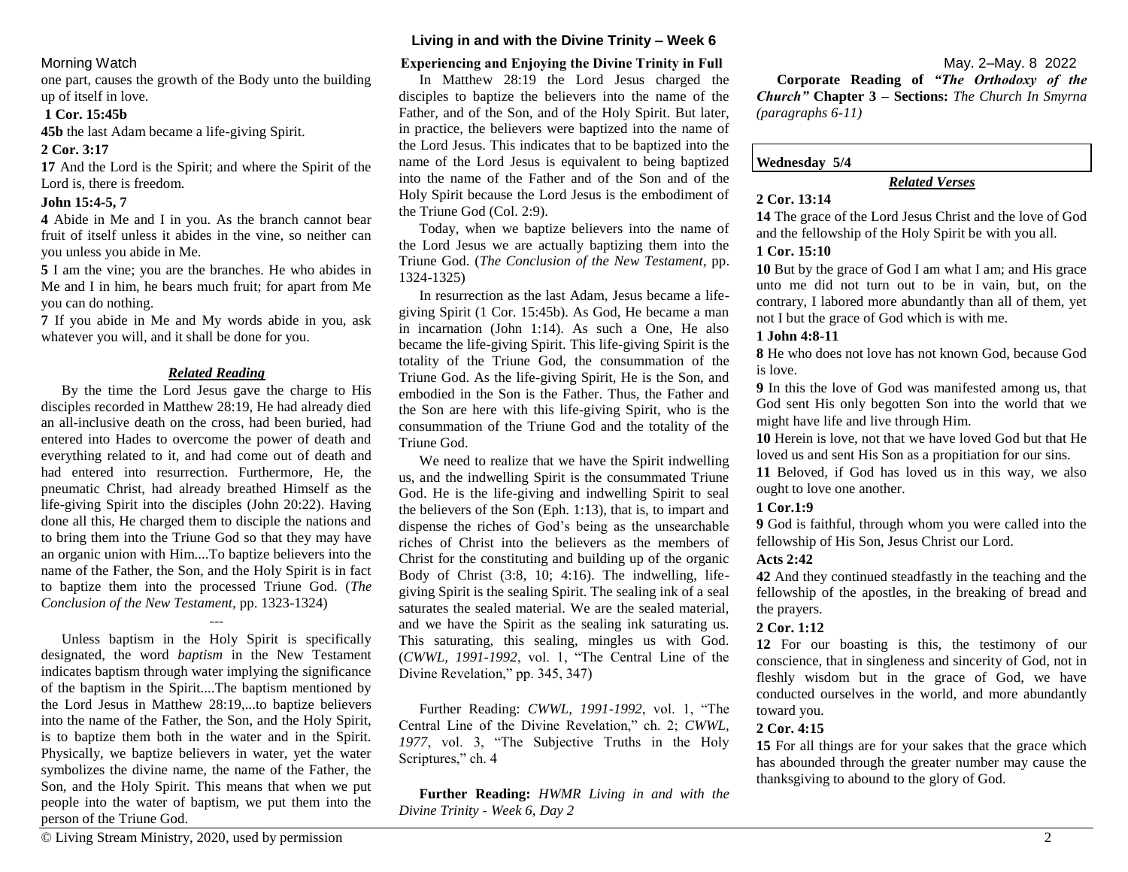one part, causes the growth of the Body unto the building up of itself in love.

### **1 Cor. 15:45b**

**45b** the last Adam became a life-giving Spirit.

#### **2 Cor. 3:17**

**17** And the Lord is the Spirit; and where the Spirit of the Lord is, there is freedom.

#### **John 15:4-5, 7**

**4** Abide in Me and I in you. As the branch cannot bear fruit of itself unless it abides in the vine, so neither can you unless you abide in Me.

**5** I am the vine; you are the branches. He who abides in Me and I in him, he bears much fruit; for apart from Me you can do nothing.

**7** If you abide in Me and My words abide in you, ask whatever you will, and it shall be done for you.

### *Related Reading*

By the time the Lord Jesus gave the charge to His disciples recorded in Matthew 28:19, He had already died an all-inclusive death on the cross, had been buried, had entered into Hades to overcome the power of death and everything related to it, and had come out of death and had entered into resurrection. Furthermore, He, the pneumatic Christ, had already breathed Himself as the life-giving Spirit into the disciples (John 20:22). Having done all this, He charged them to disciple the nations and to bring them into the Triune God so that they may have an organic union with Him....To baptize believers into the name of the Father, the Son, and the Holy Spirit is in fact to baptize them into the processed Triune God. (*The Conclusion of the New Testament,* pp. 1323-1324)

Unless baptism in the Holy Spirit is specifically designated, the word *baptism* in the New Testament indicates baptism through water implying the significance of the baptism in the Spirit....The baptism mentioned by the Lord Jesus in Matthew 28:19,...to baptize believers into the name of the Father, the Son, and the Holy Spirit, is to baptize them both in the water and in the Spirit. Physically, we baptize believers in water, yet the water symbolizes the divine name, the name of the Father, the Son, and the Holy Spirit. This means that when we put people into the water of baptism, we put them into the person of the Triune God.

---

# **Living in and with the Divine Trinity – Week 6**

# Morning Watch**Experiencing and Enjoying the Divine Trinity in Full** May. 2–May. 8 2022

In Matthew 28:19 the Lord Jesus charged the disciples to baptize the believers into the name of the Father, and of the Son, and of the Holy Spirit. But later, in practice, the believers were baptized into the name of the Lord Jesus. This indicates that to be baptized into the name of the Lord Jesus is equivalent to being baptized into the name of the Father and of the Son and of the Holy Spirit because the Lord Jesus is the embodiment of the Triune God (Col. 2:9).

Today, when we baptize believers into the name of the Lord Jesus we are actually baptizing them into the Triune God. (*The Conclusion of the New Testament*, pp. 1324-1325)

In resurrection as the last Adam, Jesus became a lifegiving Spirit (1 Cor. 15:45b). As God, He became a man in incarnation (John 1:14). As such a One, He also became the life-giving Spirit. This life-giving Spirit is the totality of the Triune God, the consummation of the Triune God. As the life-giving Spirit, He is the Son, and embodied in the Son is the Father. Thus, the Father and the Son are here with this life-giving Spirit, who is the consummation of the Triune God and the totality of the Triune God.

We need to realize that we have the Spirit indwelling us, and the indwelling Spirit is the consummated Triune God. He is the life-giving and indwelling Spirit to seal the believers of the Son (Eph. 1:13), that is, to impart and dispense the riches of God's being as the unsearchable riches of Christ into the believers as the members of Christ for the constituting and building up of the organic Body of Christ  $(3:8, 10; 4:16)$ . The indwelling, lifegiving Spirit is the sealing Spirit. The sealing ink of a seal saturates the sealed material. We are the sealed material, and we have the Spirit as the sealing ink saturating us. This saturating, this sealing, mingles us with God. (*CWWL, 1991-1992*, vol. 1, "The Central Line of the Divine Revelation," pp. 345, 347)

Further Reading: *CWWL, 1991-1992*, vol. 1, "The Central Line of the Divine Revelation," ch. 2; *CWWL,*  1977, vol. 3, "The Subjective Truths in the Holy Scriptures," ch. 4

**Further Reading:** *HWMR Living in and with the Divine Trinity - Week 6, Day 2*

**Corporate Reading of** *"The Orthodoxy of the Church"* **Chapter 3 – Sections:** *The Church In Smyrna (paragraphs 6-11)*

# **Wednesday 5/4**

# *Related Verses*

#### **2 Cor. 13:14**

**14** The grace of the Lord Jesus Christ and the love of God and the fellowship of the Holy Spirit be with you all.

# **1 Cor. 15:10**

**10** But by the grace of God I am what I am; and His grace unto me did not turn out to be in vain, but, on the contrary, I labored more abundantly than all of them, yet not I but the grace of God which is with me.

# **1 John 4:8-11**

**8** He who does not love has not known God, because God is love.

**9** In this the love of God was manifested among us, that God sent His only begotten Son into the world that we might have life and live through Him.

**10** Herein is love, not that we have loved God but that He loved us and sent His Son as a propitiation for our sins.

**11** Beloved, if God has loved us in this way, we also ought to love one another.

# **1 Cor.1:9**

**9** God is faithful, through whom you were called into the fellowship of His Son, Jesus Christ our Lord.

# **Acts 2:42**

**42** And they continued steadfastly in the teaching and the fellowship of the apostles, in the breaking of bread and the prayers.

#### **2 Cor. 1:12**

**12** For our boasting is this, the testimony of our conscience, that in singleness and sincerity of God, not in fleshly wisdom but in the grace of God, we have conducted ourselves in the world, and more abundantly toward you.

# **2 Cor. 4:15**

**15** For all things are for your sakes that the grace which has abounded through the greater number may cause the thanksgiving to abound to the glory of God.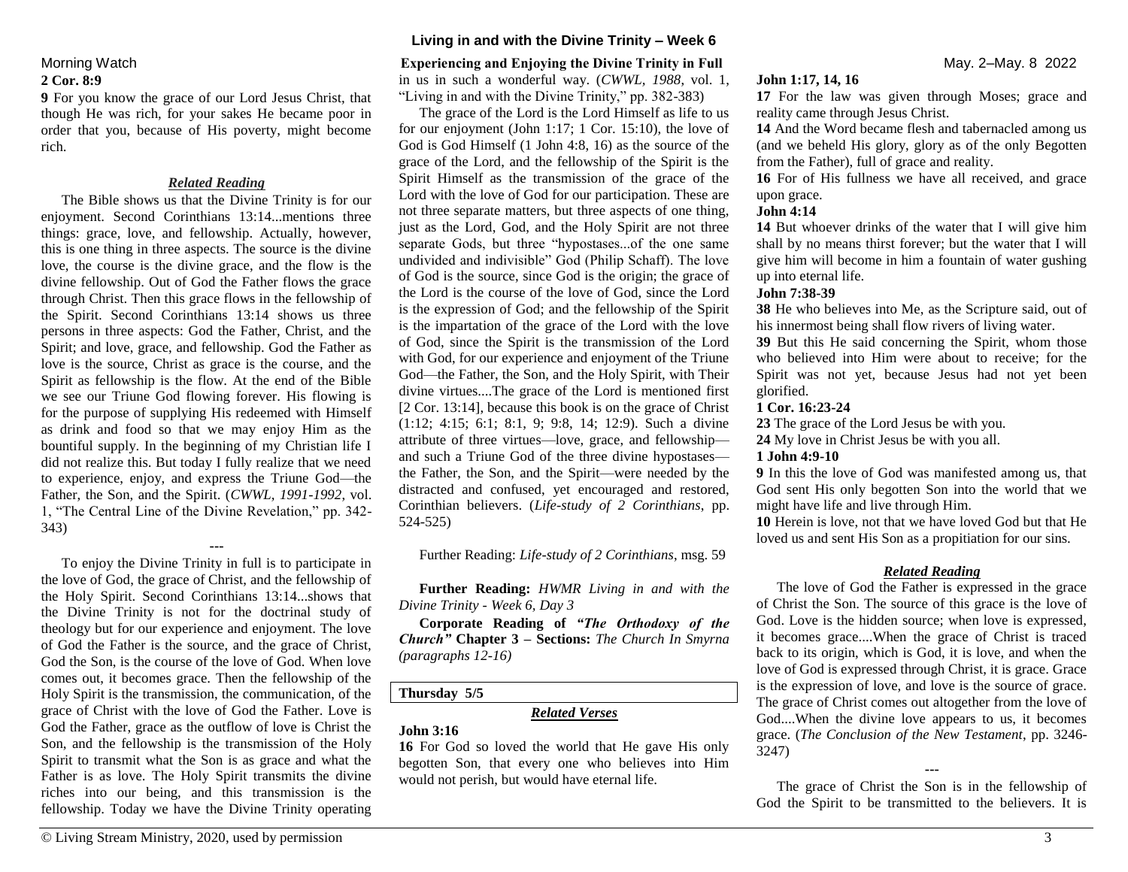# **2 Cor. 8:9**

**9** For you know the grace of our Lord Jesus Christ, that though He was rich, for your sakes He became poor in order that you, because of His poverty, might become rich.

#### *Related Reading*

The Bible shows us that the Divine Trinity is for our enjoyment. Second Corinthians 13:14...mentions three things: grace, love, and fellowship. Actually, however, this is one thing in three aspects. The source is the divine love, the course is the divine grace, and the flow is the divine fellowship. Out of God the Father flows the grace through Christ. Then this grace flows in the fellowship of the Spirit. Second Corinthians 13:14 shows us three persons in three aspects: God the Father, Christ, and the Spirit; and love, grace, and fellowship. God the Father as love is the source, Christ as grace is the course, and the Spirit as fellowship is the flow. At the end of the Bible we see our Triune God flowing forever. His flowing is for the purpose of supplying His redeemed with Himself as drink and food so that we may enjoy Him as the bountiful supply. In the beginning of my Christian life I did not realize this. But today I fully realize that we need to experience, enjoy, and express the Triune God—the Father, the Son, and the Spirit. (*CWWL, 1991-1992*, vol. 1, "The Central Line of the Divine Revelation," pp. 342- 343)

To enjoy the Divine Trinity in full is to participate in the love of God, the grace of Christ, and the fellowship of the Holy Spirit. Second Corinthians 13:14...shows that the Divine Trinity is not for the doctrinal study of theology but for our experience and enjoyment. The love of God the Father is the source, and the grace of Christ, God the Son, is the course of the love of God. When love comes out, it becomes grace. Then the fellowship of the Holy Spirit is the transmission, the communication, of the grace of Christ with the love of God the Father. Love is God the Father, grace as the outflow of love is Christ the Son, and the fellowship is the transmission of the Holy Spirit to transmit what the Son is as grace and what the Father is as love. The Holy Spirit transmits the divine riches into our being, and this transmission is the fellowship. Today we have the Divine Trinity operating

**---**

# **Living in and with the Divine Trinity – Week 6**

#### Morning Watch**Experiencing and Enjoying the Divine Trinity in Full** May. 2–May. 8 2022

in us in such a wonderful way. (*CWWL, 1988*, vol. 1, "Living in and with the Divine Trinity," pp. 382-383)

The grace of the Lord is the Lord Himself as life to us for our enjoyment (John 1:17; 1 Cor. 15:10), the love of God is God Himself (1 John 4:8, 16) as the source of the grace of the Lord, and the fellowship of the Spirit is the Spirit Himself as the transmission of the grace of the Lord with the love of God for our participation. These are not three separate matters, but three aspects of one thing, just as the Lord, God, and the Holy Spirit are not three separate Gods, but three "hypostases...of the one same undivided and indivisible" God (Philip Schaff). The love of God is the source, since God is the origin; the grace of the Lord is the course of the love of God, since the Lord is the expression of God; and the fellowship of the Spirit is the impartation of the grace of the Lord with the love of God, since the Spirit is the transmission of the Lord with God, for our experience and enjoyment of the Triune God—the Father, the Son, and the Holy Spirit, with Their divine virtues....The grace of the Lord is mentioned first [2 Cor. 13:14], because this book is on the grace of Christ (1:12; 4:15; 6:1; 8:1, 9; 9:8, 14; 12:9). Such a divine attribute of three virtues—love, grace, and fellowship and such a Triune God of the three divine hypostases the Father, the Son, and the Spirit—were needed by the distracted and confused, yet encouraged and restored, Corinthian believers. (*Life-study of 2 Corinthians*, pp. 524-525)

Further Reading: *Life-study of 2 Corinthians*, msg. 59

**Further Reading:** *HWMR Living in and with the Divine Trinity - Week 6, Day 3*

**Corporate Reading of** *"The Orthodoxy of the Church"* **Chapter 3 – Sections:** *The Church In Smyrna (paragraphs 12-16)*

# **Thursday 5/5**

# *Related Verses*

# **John 3:16**

**16** For God so loved the world that He gave His only begotten Son, that every one who believes into Him would not perish, but would have eternal life.

#### **John 1:17, 14, 16**

**17** For the law was given through Moses; grace and reality came through Jesus Christ.

**14** And the Word became flesh and tabernacled among us (and we beheld His glory, glory as of the only Begotten from the Father), full of grace and reality.

**16** For of His fullness we have all received, and grace upon grace.

#### **John 4:14**

**14** But whoever drinks of the water that I will give him shall by no means thirst forever; but the water that I will give him will become in him a fountain of water gushing up into eternal life.

#### **John 7:38-39**

**38** He who believes into Me, as the Scripture said, out of his innermost being shall flow rivers of living water.

**39** But this He said concerning the Spirit, whom those who believed into Him were about to receive; for the Spirit was not yet, because Jesus had not yet been glorified.

#### **1 Cor. 16:23-24**

**23** The grace of the Lord Jesus be with you.

**24** My love in Christ Jesus be with you all.

#### **1 John 4:9-10**

**9** In this the love of God was manifested among us, that God sent His only begotten Son into the world that we might have life and live through Him.

**10** Herein is love, not that we have loved God but that He loved us and sent His Son as a propitiation for our sins.

#### *Related Reading*

The love of God the Father is expressed in the grace of Christ the Son. The source of this grace is the love of God. Love is the hidden source; when love is expressed, it becomes grace....When the grace of Christ is traced back to its origin, which is God, it is love, and when the love of God is expressed through Christ, it is grace. Grace is the expression of love, and love is the source of grace. The grace of Christ comes out altogether from the love of God....When the divine love appears to us, it becomes grace. (*The Conclusion of the New Testament*, pp. 3246- 3247)

**---**

The grace of Christ the Son is in the fellowship of God the Spirit to be transmitted to the believers. It is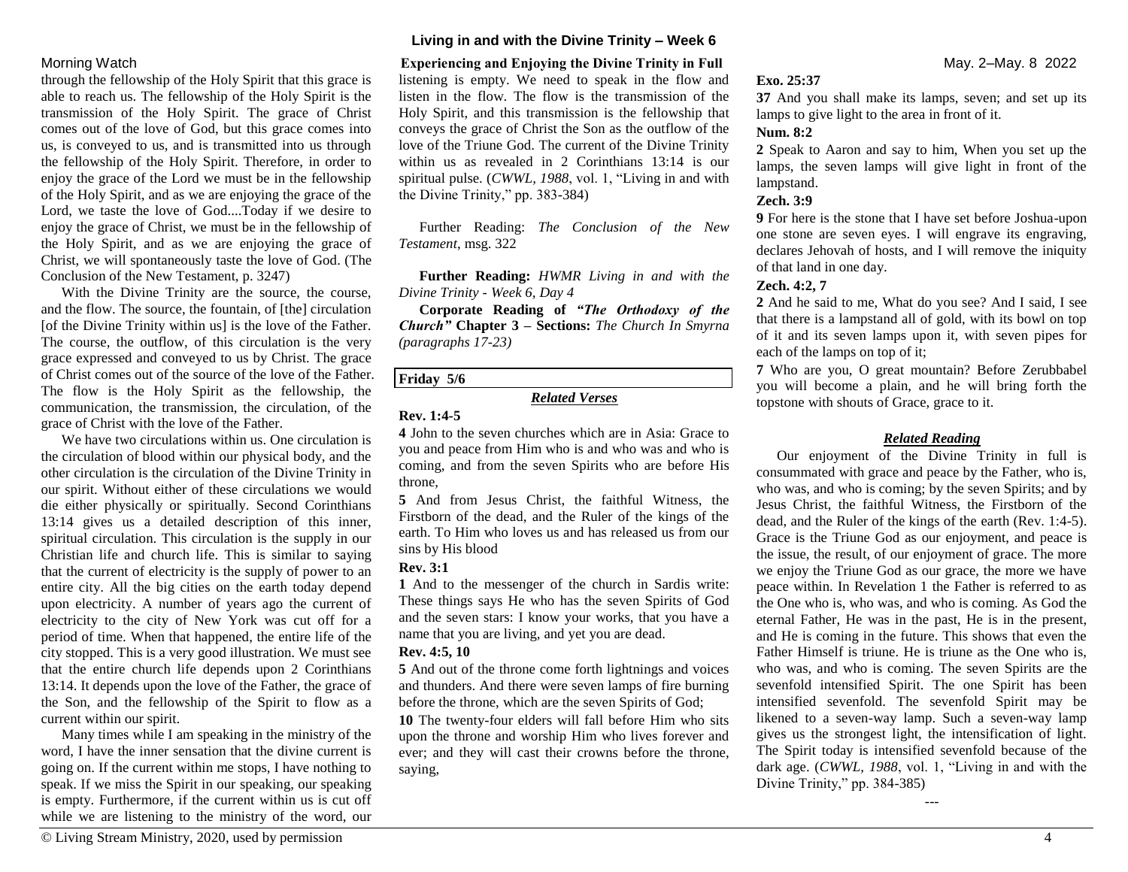#### **Living in and with the Divine Trinity – Week 6**

through the fellowship of the Holy Spirit that this grace is able to reach us. The fellowship of the Holy Spirit is the transmission of the Holy Spirit. The grace of Christ comes out of the love of God, but this grace comes into us, is conveyed to us, and is transmitted into us through the fellowship of the Holy Spirit. Therefore, in order to enjoy the grace of the Lord we must be in the fellowship of the Holy Spirit, and as we are enjoying the grace of the Lord, we taste the love of God....Today if we desire to enjoy the grace of Christ, we must be in the fellowship of the Holy Spirit, and as we are enjoying the grace of Christ, we will spontaneously taste the love of God. (The Conclusion of the New Testament, p. 3247)

With the Divine Trinity are the source, the course, and the flow. The source, the fountain, of [the] circulation [of the Divine Trinity within us] is the love of the Father. The course, the outflow, of this circulation is the very grace expressed and conveyed to us by Christ. The grace of Christ comes out of the source of the love of the Father. The flow is the Holy Spirit as the fellowship, the communication, the transmission, the circulation, of the grace of Christ with the love of the Father.

We have two circulations within us. One circulation is the circulation of blood within our physical body, and the other circulation is the circulation of the Divine Trinity in our spirit. Without either of these circulations we would die either physically or spiritually. Second Corinthians 13:14 gives us a detailed description of this inner, spiritual circulation. This circulation is the supply in our Christian life and church life. This is similar to saying that the current of electricity is the supply of power to an entire city. All the big cities on the earth today depend upon electricity. A number of years ago the current of electricity to the city of New York was cut off for a period of time. When that happened, the entire life of the city stopped. This is a very good illustration. We must see that the entire church life depends upon 2 Corinthians 13:14. It depends upon the love of the Father, the grace of the Son, and the fellowship of the Spirit to flow as a current within our spirit.

Many times while I am speaking in the ministry of the word, I have the inner sensation that the divine current is going on. If the current within me stops, I have nothing to speak. If we miss the Spirit in our speaking, our speaking is empty. Furthermore, if the current within us is cut off while we are listening to the ministry of the word, our

listening is empty. We need to speak in the flow and listen in the flow. The flow is the transmission of the Holy Spirit, and this transmission is the fellowship that conveys the grace of Christ the Son as the outflow of the love of the Triune God. The current of the Divine Trinity within us as revealed in 2 Corinthians 13:14 is our spiritual pulse. (*CWWL, 1988*, vol. 1, "Living in and with the Divine Trinity," pp. 383-384)

Further Reading: *The Conclusion of the New Testament*, msg. 322

**Further Reading:** *HWMR Living in and with the Divine Trinity - Week 6, Day 4*

**Corporate Reading of** *"The Orthodoxy of the Church"* **Chapter 3 – Sections:** *The Church In Smyrna (paragraphs 17-23)*

#### **Friday 5/6**

### *Related Verses*

### **Rev. 1:4-5**

**4** John to the seven churches which are in Asia: Grace to you and peace from Him who is and who was and who is coming, and from the seven Spirits who are before His throne,

**5** And from Jesus Christ, the faithful Witness, the Firstborn of the dead, and the Ruler of the kings of the earth. To Him who loves us and has released us from our sins by His blood

#### **Rev. 3:1**

**1** And to the messenger of the church in Sardis write: These things says He who has the seven Spirits of God and the seven stars: I know your works, that you have a name that you are living, and yet you are dead.

#### **Rev. 4:5, 10**

**5** And out of the throne come forth lightnings and voices and thunders. And there were seven lamps of fire burning before the throne, which are the seven Spirits of God;

**10** The twenty-four elders will fall before Him who sits upon the throne and worship Him who lives forever and ever; and they will cast their crowns before the throne, saying,

Morning Watch**Experiencing and Enjoying the Divine Trinity in Full** May. 2–May. 8 2022

#### **Exo. 25:37**

**37** And you shall make its lamps, seven; and set up its lamps to give light to the area in front of it.

# **Num. 8:2**

**2** Speak to Aaron and say to him, When you set up the lamps, the seven lamps will give light in front of the lampstand.

# **Zech. 3:9**

**9** For here is the stone that I have set before Joshua-upon one stone are seven eyes. I will engrave its engraving, declares Jehovah of hosts, and I will remove the iniquity of that land in one day.

# **Zech. 4:2, 7**

**2** And he said to me, What do you see? And I said, I see that there is a lampstand all of gold, with its bowl on top of it and its seven lamps upon it, with seven pipes for each of the lamps on top of it;

**7** Who are you, O great mountain? Before Zerubbabel you will become a plain, and he will bring forth the topstone with shouts of Grace, grace to it.

# *Related Reading*

Our enjoyment of the Divine Trinity in full is consummated with grace and peace by the Father, who is, who was, and who is coming; by the seven Spirits; and by Jesus Christ, the faithful Witness, the Firstborn of the dead, and the Ruler of the kings of the earth (Rev. 1:4-5). Grace is the Triune God as our enjoyment, and peace is the issue, the result, of our enjoyment of grace. The more we enjoy the Triune God as our grace, the more we have peace within. In Revelation 1 the Father is referred to as the One who is, who was, and who is coming. As God the eternal Father, He was in the past, He is in the present, and He is coming in the future. This shows that even the Father Himself is triune. He is triune as the One who is, who was, and who is coming. The seven Spirits are the sevenfold intensified Spirit. The one Spirit has been intensified sevenfold. The sevenfold Spirit may be likened to a seven-way lamp. Such a seven-way lamp gives us the strongest light, the intensification of light. The Spirit today is intensified sevenfold because of the dark age. (*CWWL, 1988*, vol. 1, "Living in and with the Divine Trinity," pp. 384-385)

---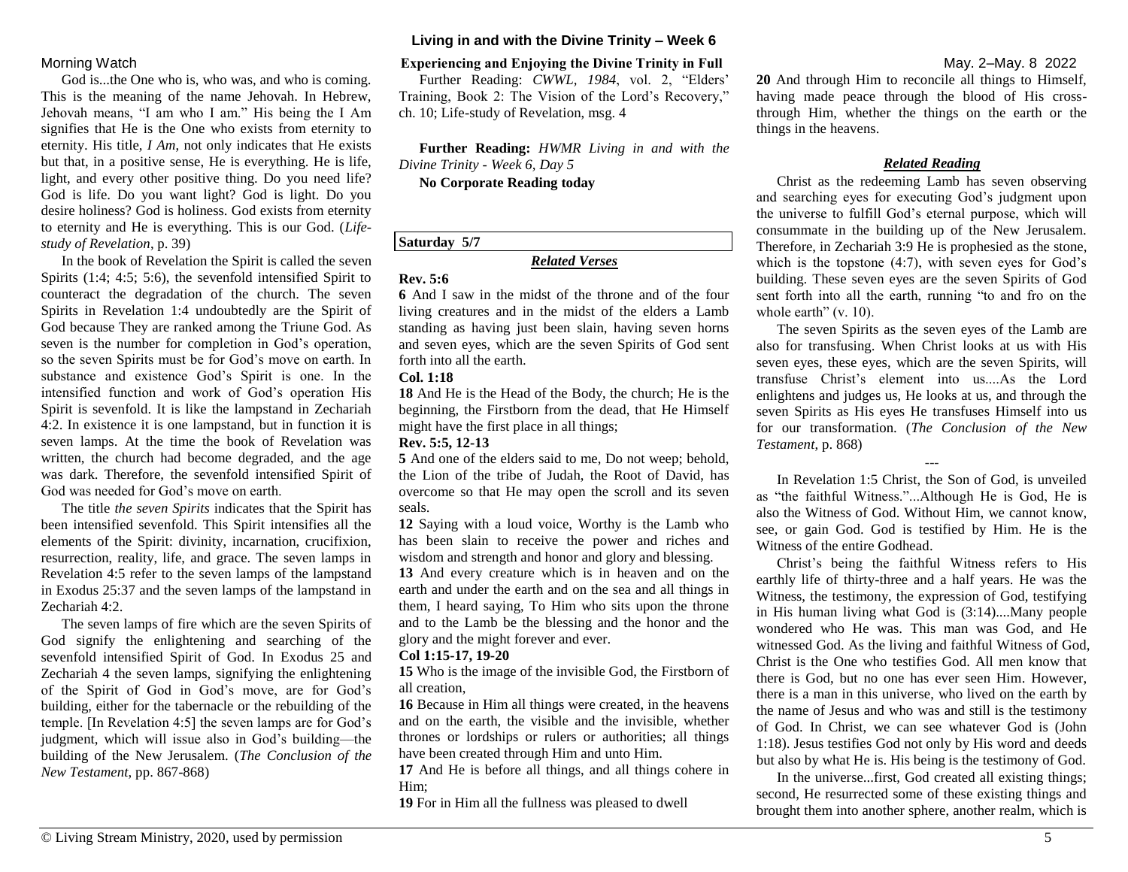### **Living in and with the Divine Trinity – Week 6**

God is...the One who is, who was, and who is coming. This is the meaning of the name Jehovah. In Hebrew, Jehovah means, "I am who I am." His being the I Am signifies that He is the One who exists from eternity to eternity. His title, *I Am*, not only indicates that He exists but that, in a positive sense, He is everything. He is life, light, and every other positive thing. Do you need life? God is life. Do you want light? God is light. Do you desire holiness? God is holiness. God exists from eternity to eternity and He is everything. This is our God. (*Lifestudy of Revelation*, p. 39)

In the book of Revelation the Spirit is called the seven Spirits (1:4; 4:5; 5:6), the sevenfold intensified Spirit to counteract the degradation of the church. The seven Spirits in Revelation 1:4 undoubtedly are the Spirit of God because They are ranked among the Triune God. As seven is the number for completion in God's operation, so the seven Spirits must be for God's move on earth. In substance and existence God's Spirit is one. In the intensified function and work of God's operation His Spirit is sevenfold. It is like the lampstand in Zechariah 4:2. In existence it is one lampstand, but in function it is seven lamps. At the time the book of Revelation was written, the church had become degraded, and the age was dark. Therefore, the sevenfold intensified Spirit of God was needed for God's move on earth.

The title *the seven Spirits* indicates that the Spirit has been intensified sevenfold. This Spirit intensifies all the elements of the Spirit: divinity, incarnation, crucifixion, resurrection, reality, life, and grace. The seven lamps in Revelation 4:5 refer to the seven lamps of the lampstand in Exodus 25:37 and the seven lamps of the lampstand in Zechariah 4:2.

The seven lamps of fire which are the seven Spirits of God signify the enlightening and searching of the sevenfold intensified Spirit of God. In Exodus 25 and Zechariah 4 the seven lamps, signifying the enlightening of the Spirit of God in God's move, are for God's building, either for the tabernacle or the rebuilding of the temple. [In Revelation 4:5] the seven lamps are for God's judgment, which will issue also in God's building—the building of the New Jerusalem. (*The Conclusion of the New Testament*, pp. 867-868)

### Morning Watch**Experiencing and Enjoying the Divine Trinity in Full** May. 2–May. 8 2022

Further Reading: *CWWL, 1984*, vol. 2, "Elders' Training, Book 2: The Vision of the Lord's Recovery," ch. 10; Life-study of Revelation, msg. 4

**Further Reading:** *HWMR Living in and with the Divine Trinity - Week 6, Day 5*

**No Corporate Reading today**

### **Saturday 5/7**

# *Related Verses*

#### **Rev. 5:6**

**6** And I saw in the midst of the throne and of the four living creatures and in the midst of the elders a Lamb standing as having just been slain, having seven horns and seven eyes, which are the seven Spirits of God sent forth into all the earth.

#### **Col. 1:18**

**18** And He is the Head of the Body, the church; He is the beginning, the Firstborn from the dead, that He Himself might have the first place in all things;

#### **Rev. 5:5, 12-13**

**5** And one of the elders said to me, Do not weep; behold, the Lion of the tribe of Judah, the Root of David, has overcome so that He may open the scroll and its seven seals.

**12** Saying with a loud voice, Worthy is the Lamb who has been slain to receive the power and riches and wisdom and strength and honor and glory and blessing.

**13** And every creature which is in heaven and on the earth and under the earth and on the sea and all things in them, I heard saying, To Him who sits upon the throne and to the Lamb be the blessing and the honor and the glory and the might forever and ever.

#### **Col 1:15-17, 19-20**

**15** Who is the image of the invisible God, the Firstborn of all creation,

**16** Because in Him all things were created, in the heavens and on the earth, the visible and the invisible, whether thrones or lordships or rulers or authorities; all things have been created through Him and unto Him.

**17** And He is before all things, and all things cohere in Him;

**19** For in Him all the fullness was pleased to dwell

**20** And through Him to reconcile all things to Himself, having made peace through the blood of His crossthrough Him, whether the things on the earth or the things in the heavens.

### *Related Reading*

Christ as the redeeming Lamb has seven observing and searching eyes for executing God's judgment upon the universe to fulfill God's eternal purpose, which will consummate in the building up of the New Jerusalem. Therefore, in Zechariah 3:9 He is prophesied as the stone, which is the topstone (4:7), with seven eyes for God's building. These seven eyes are the seven Spirits of God sent forth into all the earth, running "to and fro on the whole earth" (v. 10).

The seven Spirits as the seven eyes of the Lamb are also for transfusing. When Christ looks at us with His seven eyes, these eyes, which are the seven Spirits, will transfuse Christ's element into us....As the Lord enlightens and judges us, He looks at us, and through the seven Spirits as His eyes He transfuses Himself into us for our transformation. (*The Conclusion of the New Testament*, p. 868)

In Revelation 1:5 Christ, the Son of God, is unveiled as "the faithful Witness."...Although He is God, He is also the Witness of God. Without Him, we cannot know, see, or gain God. God is testified by Him. He is the Witness of the entire Godhead.

---

Christ's being the faithful Witness refers to His earthly life of thirty-three and a half years. He was the Witness, the testimony, the expression of God, testifying in His human living what God is (3:14)....Many people wondered who He was. This man was God, and He witnessed God. As the living and faithful Witness of God, Christ is the One who testifies God. All men know that there is God, but no one has ever seen Him. However, there is a man in this universe, who lived on the earth by the name of Jesus and who was and still is the testimony of God. In Christ, we can see whatever God is (John 1:18). Jesus testifies God not only by His word and deeds but also by what He is. His being is the testimony of God.

In the universe...first, God created all existing things; second, He resurrected some of these existing things and brought them into another sphere, another realm, which is